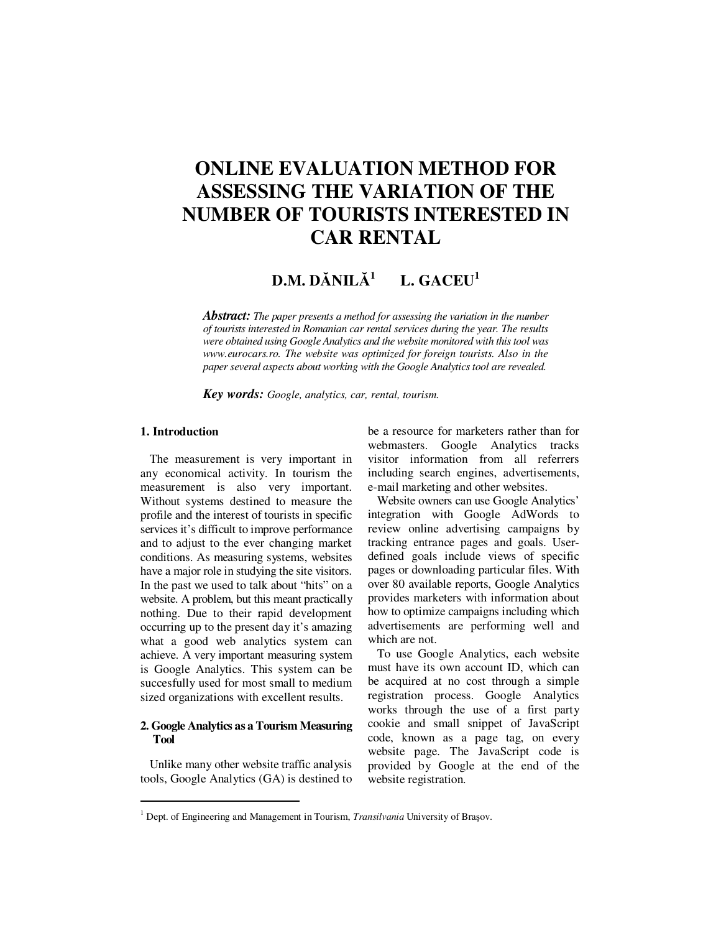# **ONLINE EVALUATION METHOD FOR ASSESSING THE VARIATION OF THE NUMBER OF TOURISTS INTERESTED IN CAR RENTAL**

#### **D.M. D**Ă**NIL**Ă **1 L. GACEU<sup>1</sup>**

*Abstract: The paper presents a method for assessing the variation in the number of tourists interested in Romanian car rental services during the year. The results were obtained using Google Analytics and the website monitored with this tool was www.eurocars.ro. The website was optimized for foreign tourists. Also in the paper several aspects about working with the Google Analytics tool are revealed.* 

*Key words: Google, analytics, car, rental, tourism.*

# **1. Introduction**

 $\overline{a}$ 

The measurement is very important in any economical activity. In tourism the measurement is also very important. Without systems destined to measure the profile and the interest of tourists in specific services it's difficult to improve performance and to adjust to the ever changing market conditions. As measuring systems, websites have a major role in studying the site visitors. In the past we used to talk about "hits" on a website. A problem, but this meant practically nothing. Due to their rapid development occurring up to the present day it's amazing what a good web analytics system can achieve. A very important measuring system is Google Analytics. This system can be succesfully used for most small to medium sized organizations with excellent results.

## **2. Google Analytics as a Tourism Measuring Tool**

Unlike many other website traffic analysis tools, Google Analytics (GA) is destined to be a resource for marketers rather than for webmasters. Google Analytics tracks visitor information from all referrers including search engines, advertisements, e-mail marketing and other websites.

Website owners can use Google Analytics' integration with Google AdWords to review online advertising campaigns by tracking entrance pages and goals. Userdefined goals include views of specific pages or downloading particular files. With over 80 available reports, Google Analytics provides marketers with information about how to optimize campaigns including which advertisements are performing well and which are not.

To use Google Analytics, each website must have its own account ID, which can be acquired at no cost through a simple registration process. Google Analytics works through the use of a first party cookie and small snippet of JavaScript code, known as a page tag, on every website page. The JavaScript code is provided by Google at the end of the website registration.

<sup>&</sup>lt;sup>1</sup> Dept. of Engineering and Management in Tourism, *Transilvania* University of Brașov.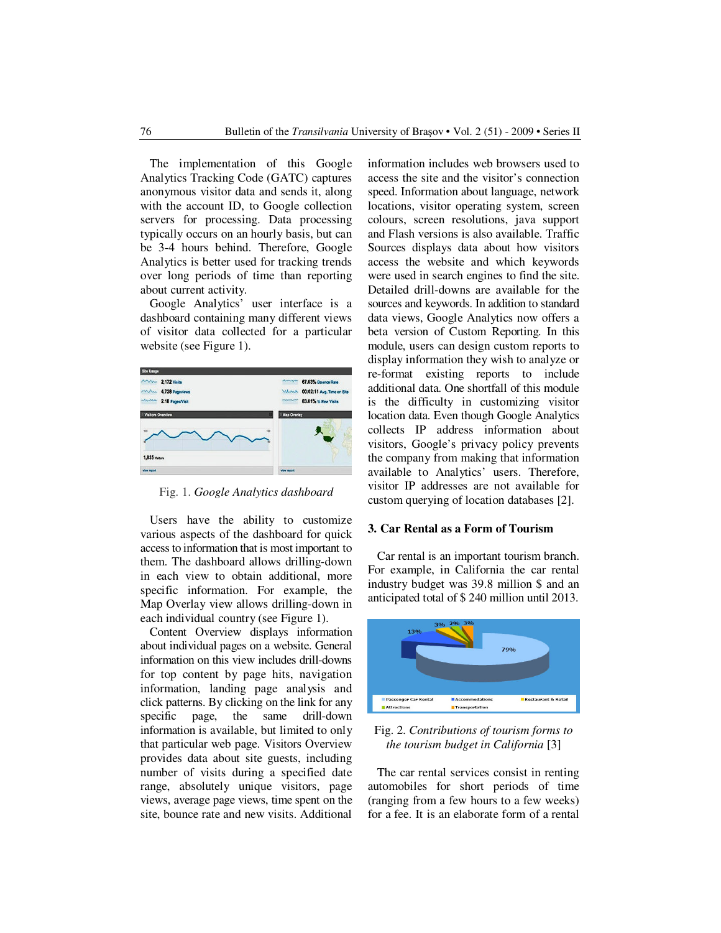The implementation of this Google Analytics Tracking Code (GATC) captures anonymous visitor data and sends it, along with the account ID, to Google collection servers for processing. Data processing typically occurs on an hourly basis, but can be 3-4 hours behind. Therefore, Google Analytics is better used for tracking trends over long periods of time than reporting about current activity.

Google Analytics' user interface is a dashboard containing many different views of visitor data collected for a particular website (see Figure 1).



Fig. 1. *Google Analytics dashboard*

Users have the ability to customize various aspects of the dashboard for quick access to information that is most important to them. The dashboard allows drilling-down in each view to obtain additional, more specific information. For example, the Map Overlay view allows drilling-down in each individual country (see Figure 1).

Content Overview displays information about individual pages on a website. General information on this view includes drill-downs for top content by page hits, navigation information, landing page analysis and click patterns. By clicking on the link for any specific page, the same drill-down information is available, but limited to only that particular web page. Visitors Overview provides data about site guests, including number of visits during a specified date range, absolutely unique visitors, page views, average page views, time spent on the site, bounce rate and new visits. Additional

information includes web browsers used to access the site and the visitor's connection speed. Information about language, network locations, visitor operating system, screen colours, screen resolutions, java support and Flash versions is also available. Traffic Sources displays data about how visitors access the website and which keywords were used in search engines to find the site. Detailed drill-downs are available for the sources and keywords. In addition to standard data views, Google Analytics now offers a beta version of Custom Reporting. In this module, users can design custom reports to display information they wish to analyze or re-format existing reports to include additional data. One shortfall of this module is the difficulty in customizing visitor location data. Even though Google Analytics collects IP address information about visitors, Google's privacy policy prevents the company from making that information available to Analytics' users. Therefore, visitor IP addresses are not available for custom querying of location databases [2].

### **3. Car Rental as a Form of Tourism**

Car rental is an important tourism branch. For example, in California the car rental industry budget was 39.8 million \$ and an anticipated total of \$ 240 million until 2013.



Fig. 2. *Contributions of tourism forms to the tourism budget in California* [3]

The car rental services consist in renting automobiles for short periods of time (ranging from a few hours to a few weeks) for a fee. It is an elaborate form of a rental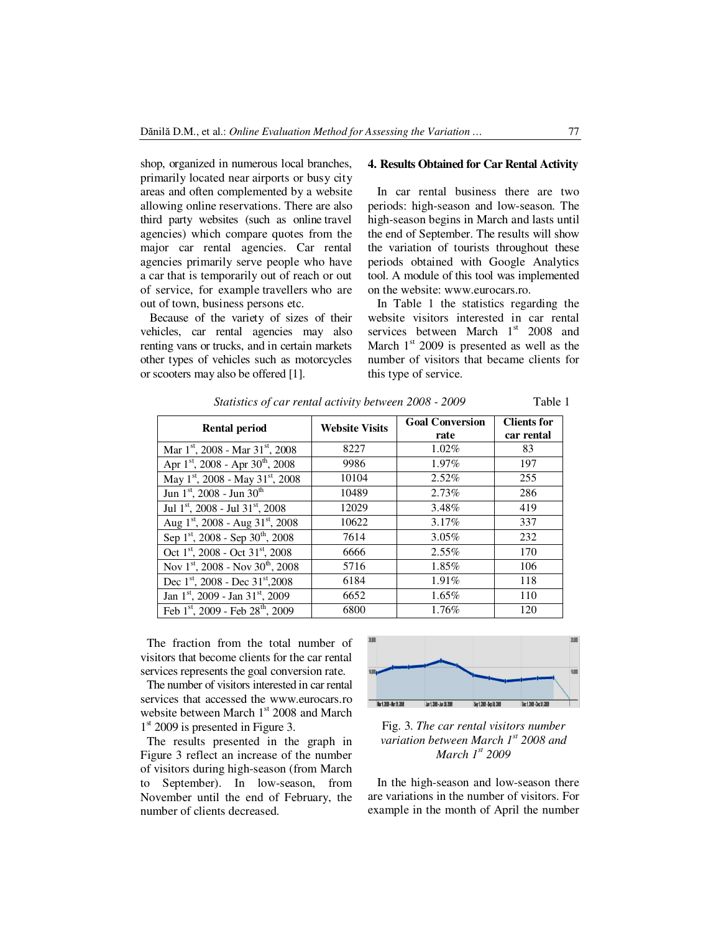shop, organized in numerous local branches, primarily located near airports or busy city areas and often complemented by a website allowing online reservations. There are also third party websites (such as online travel agencies) which compare quotes from the major car rental agencies. Car rental agencies primarily serve people who have a car that is temporarily out of reach or out of service, for example travellers who are out of town, business persons etc.

Because of the variety of sizes of their vehicles, car rental agencies may also renting vans or trucks, and in certain markets other types of vehicles such as motorcycles or scooters may also be offered [1].

#### **4. Results Obtained for Car Rental Activity**

In car rental business there are two periods: high-season and low-season. The high-season begins in March and lasts until the end of September. The results will show the variation of tourists throughout these periods obtained with Google Analytics tool. A module of this tool was implemented on the website: www.eurocars.ro.

In Table 1 the statistics regarding the website visitors interested in car rental services between March  $1<sup>st</sup>$  2008 and March  $1<sup>st</sup>$  2009 is presented as well as the number of visitors that became clients for this type of service.

| <b>Rental period</b>                                     | <b>Website Visits</b> | <b>Goal Conversion</b><br>rate | <b>Clients for</b><br>car rental |
|----------------------------------------------------------|-----------------------|--------------------------------|----------------------------------|
| Mar $1st$ , 2008 - Mar $31st$ , 2008                     | 8227                  | $1.02\%$                       | 83                               |
| Apr $1st$ , 2008 - Apr $30th$ , 2008                     | 9986                  | $1.97\%$                       | 197                              |
| May 1 <sup>st</sup> , 2008 - May 31 <sup>st</sup> , 2008 | 10104                 | $2.52\%$                       | 255                              |
| Jun 1st, 2008 - Jun 30 <sup>th</sup>                     | 10489                 | 2.73%                          | 286                              |
| Jul 1st, 2008 - Jul 31st, 2008                           | 12029                 | 3.48%                          | 419                              |
| Aug 1st, 2008 - Aug 31st, 2008                           | 10622                 | $3.17\%$                       | 337                              |
| Sep 1 <sup>st</sup> , 2008 - Sep 30 <sup>th</sup> , 2008 | 7614                  | 3.05%                          | 232                              |
| Oct 1 <sup>st</sup> , 2008 - Oct 31 <sup>st</sup> , 2008 | 6666                  | $2.55\%$                       | 170                              |
| Nov $1^{st}$ , 2008 - Nov 30 <sup>th</sup> , 2008        | 5716                  | 1.85%                          | 106                              |
| Dec 1st, 2008 - Dec 31st, 2008                           | 6184                  | $1.91\%$                       | 118                              |
| Jan 1 <sup>st</sup> , 2009 - Jan 31 <sup>st</sup> , 2009 | 6652                  | $1.65\%$                       | 110                              |
| Feb 1 <sup>st</sup> , 2009 - Feb 28 <sup>th</sup> , 2009 | 6800                  | 1.76%                          | 120                              |

*Statistics of car rental activity between 2008 - 2009* Table 1

The fraction from the total number of visitors that become clients for the car rental services represents the goal conversion rate.

The number of visitors interested in car rental services that accessed the www.eurocars.ro website between March 1st 2008 and March 1<sup>st</sup> 2009 is presented in Figure 3.

The results presented in the graph in Figure 3 reflect an increase of the number of visitors during high-season (from March to September). In low-season, from November until the end of February, the number of clients decreased.



Fig. 3. *The car rental visitors number variation between March 1st 2008 and March 1st 2009* 

In the high-season and low-season there are variations in the number of visitors. For example in the month of April the number